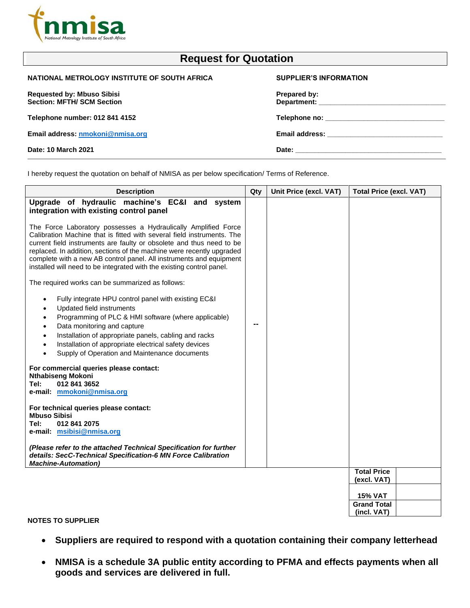

| <b>Request for Quotation</b>                                           |                               |  |  |
|------------------------------------------------------------------------|-------------------------------|--|--|
| NATIONAL METROLOGY INSTITUTE OF SOUTH AFRICA                           | <b>SUPPLIER'S INFORMATION</b> |  |  |
| <b>Requested by: Mbuso Sibisi</b><br><b>Section: MFTH/ SCM Section</b> | Prepared by:                  |  |  |
| Telephone number: 012 841 4152                                         |                               |  |  |
| Email address: nmokoni@nmisa.org                                       |                               |  |  |
| Date: 10 March 2021                                                    |                               |  |  |
|                                                                        |                               |  |  |

I hereby request the quotation on behalf of NMISA as per below specification/ Terms of Reference.

| <b>Description</b>                                                                                                                                                                                                                                                                                                                                                                                                                        | Qty | Unit Price (excl. VAT) | <b>Total Price (excl. VAT)</b>    |
|-------------------------------------------------------------------------------------------------------------------------------------------------------------------------------------------------------------------------------------------------------------------------------------------------------------------------------------------------------------------------------------------------------------------------------------------|-----|------------------------|-----------------------------------|
| Upgrade of hydraulic machine's EC&I and system<br>integration with existing control panel                                                                                                                                                                                                                                                                                                                                                 |     |                        |                                   |
| The Force Laboratory possesses a Hydraulically Amplified Force<br>Calibration Machine that is fitted with several field instruments. The<br>current field instruments are faulty or obsolete and thus need to be<br>replaced. In addition, sections of the machine were recently upgraded<br>complete with a new AB control panel. All instruments and equipment<br>installed will need to be integrated with the existing control panel. |     |                        |                                   |
| The required works can be summarized as follows:                                                                                                                                                                                                                                                                                                                                                                                          |     |                        |                                   |
| Fully integrate HPU control panel with existing EC&I<br>$\bullet$<br>Updated field instruments<br>٠<br>Programming of PLC & HMI software (where applicable)<br>$\bullet$<br>Data monitoring and capture<br>$\bullet$<br>Installation of appropriate panels, cabling and racks<br>$\bullet$<br>Installation of appropriate electrical safety devices<br>$\bullet$<br>Supply of Operation and Maintenance documents<br>$\bullet$            | --  |                        |                                   |
| For commercial queries please contact:<br><b>Nthabiseng Mokoni</b><br>012 841 3652<br>Tel:<br>e-mail: mmokoni@nmisa.org                                                                                                                                                                                                                                                                                                                   |     |                        |                                   |
| For technical queries please contact:<br><b>Mbuso Sibisi</b><br>Tel:<br>012 841 2075<br>e-mail: msibisi@nmisa.org                                                                                                                                                                                                                                                                                                                         |     |                        |                                   |
| (Please refer to the attached Technical Specification for further<br>details: SecC-Technical Specification-6 MN Force Calibration<br><b>Machine-Automation)</b>                                                                                                                                                                                                                                                                           |     |                        |                                   |
|                                                                                                                                                                                                                                                                                                                                                                                                                                           |     |                        | <b>Total Price</b>                |
|                                                                                                                                                                                                                                                                                                                                                                                                                                           |     |                        | (excl. VAT)                       |
|                                                                                                                                                                                                                                                                                                                                                                                                                                           |     |                        | <b>15% VAT</b>                    |
|                                                                                                                                                                                                                                                                                                                                                                                                                                           |     |                        | <b>Grand Total</b><br>(incl. VAT) |
|                                                                                                                                                                                                                                                                                                                                                                                                                                           |     |                        |                                   |

**NOTES TO SUPPLIER**

- **Suppliers are required to respond with a quotation containing their company letterhead**
- **NMISA is a schedule 3A public entity according to PFMA and effects payments when all goods and services are delivered in full.**